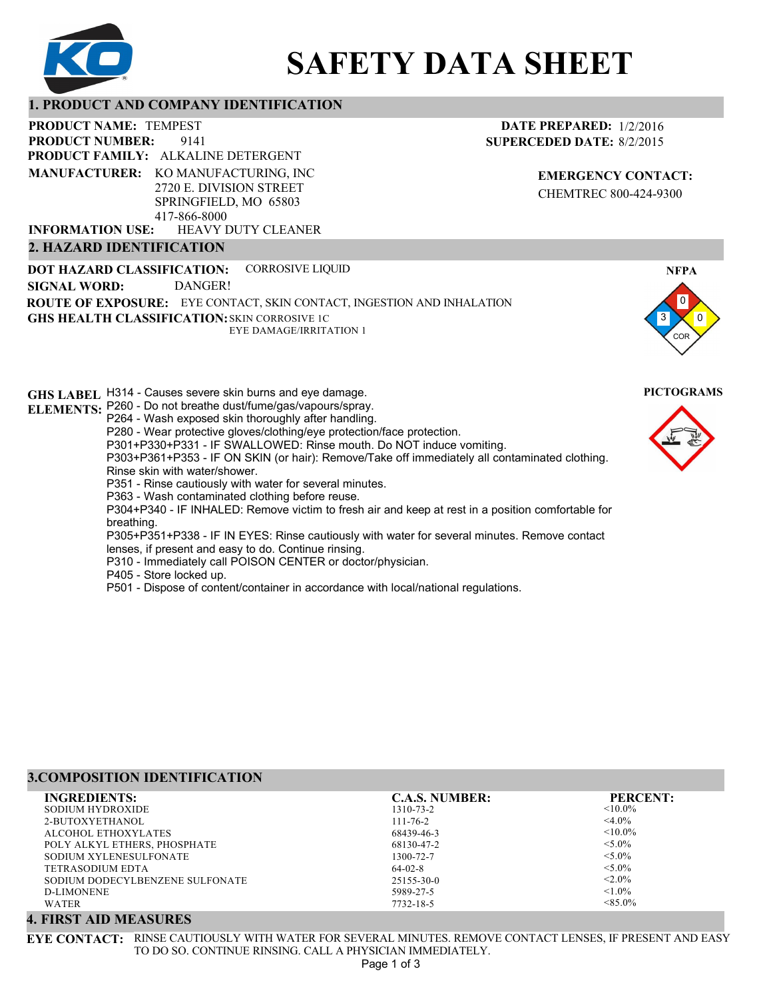

# **SAFETY DATA SHEET**

#### **1. PRODUCT AND COMPANY IDENTIFICATION**

9141 PRODUCT NAME: TEMPEST **PRODUCT FAMILY: ALKALINE DETERGENT** HEAVY DUTY CLEANER **PRODUCT NUMBER: MANUFACTURER:** KO MANUFACTURING, INC 2720 E. DIVISION STREET SPRINGFIELD, MO 65803 417-866-8000 **INFORMATION USE:**

**2. HAZARD IDENTIFICATION**

#### **DATE PREPARED:** 1/2/2016 **SUPERCEDED DATE:** 8/2/2015

**EMERGENCY CONTACT:** CHEMTREC 800-424-9300

**DOT HAZARD CLASSIFICATION: GHS HEALTH CLASSIFICATION:** SKIN CORROSIVE 1C **ROUTE OF EXPOSURE:** EYE CONTACT, SKIN CONTACT, INGESTION AND INHALATION CORROSIVE LIQUID EYE DAMAGE/IRRITATION 1 **SIGNAL WORD:** DANGER!

**GHS LABEL**  H314 - Causes severe skin burns and eye damage. **PICTOGRAMS ELEMENTS:** P260 - Do not breathe dust/fume/gas/vapours/spray. P264 - Wash exposed skin thoroughly after handling. P280 - Wear protective gloves/clothing/eye protection/face protection. P301+P330+P331 - IF SWALLOWED: Rinse mouth. Do NOT induce vomiting. P303+P361+P353 - IF ON SKIN (or hair): Remove/Take off immediately all contaminated clothing. Rinse skin with water/shower. P351 - Rinse cautiously with water for several minutes. P363 - Wash contaminated clothing before reuse. P304+P340 - IF INHALED: Remove victim to fresh air and keep at rest in a position comfortable for breathing. P305+P351+P338 - IF IN EYES: Rinse cautiously with water for several minutes. Remove contact lenses, if present and easy to do. Continue rinsing. P310 - Immediately call POISON CENTER or doctor/physician. P405 - Store locked up.

P501 - Dispose of content/container in accordance with local/national regulations.

#### **3.COMPOSITION IDENTIFICATION**

| <b>INGREDIENTS:</b>             | <b>C.A.S. NUMBER:</b> | <b>PERCENT:</b> |
|---------------------------------|-----------------------|-----------------|
| SODIUM HYDROXIDE                | 1310-73-2             | $\leq 10.0\%$   |
| 2-BUTOXYETHANOL                 | $111 - 76 - 2$        | $<$ 4.0%        |
| ALCOHOL ETHOXYLATES             | 68439-46-3            | $< 10.0\%$      |
| POLY ALKYL ETHERS, PHOSPHATE    | 68130-47-2            | $< 5.0\%$       |
| SODIUM XYLENESULFONATE          | 1300-72-7             | $< 5.0\%$       |
| TETRASODIUM EDTA                | $64-02-8$             | $< 5.0\%$       |
| SODIUM DODECYLBENZENE SULFONATE | $25155 - 30 - 0$      | $< 2.0\%$       |
| D-LIMONENE                      | 5989-27-5             | $< 1.0\%$       |
| <b>WATER</b>                    | 7732-18-5             | $< 85.0\%$      |

# **4. FIRST AID MEASURES**

**EYE CONTACT:** RINSE CAUTIOUSLY WITH WATER FOR SEVERAL MINUTES. REMOVE CONTACT LENSES, IF PRESENT AND EASY TO DO SO. CONTINUE RINSING. CALL A PHYSICIAN IMMEDIATELY. Page 1 of 3



**NFPA**

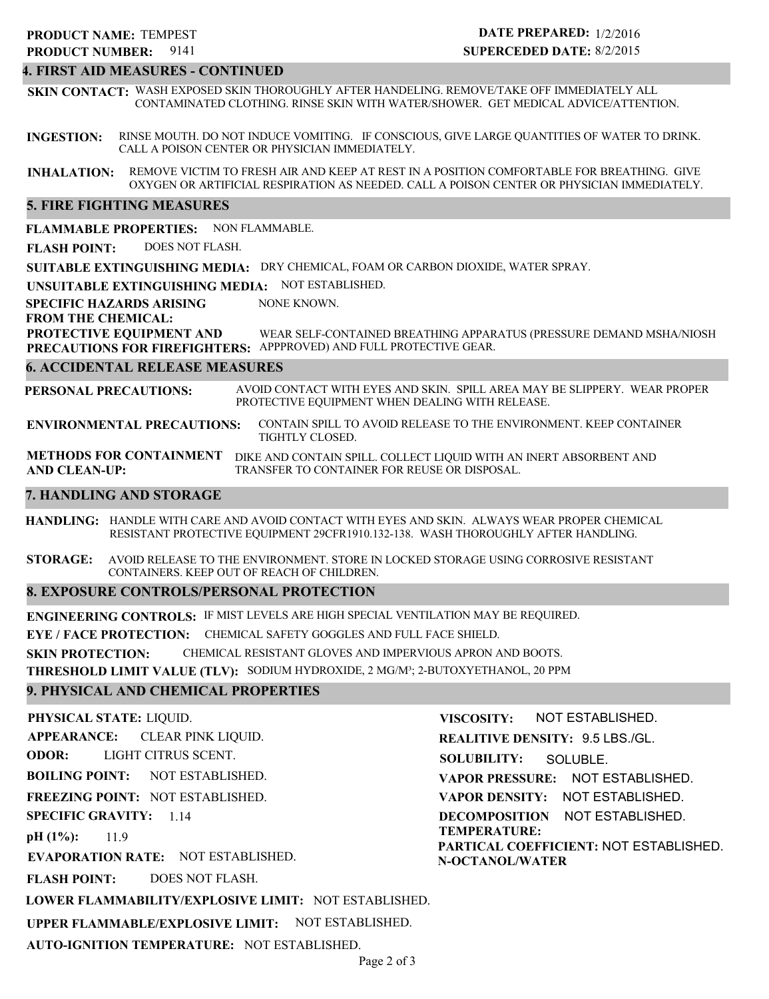# 9141 **PRODUCT NUMBER: PRODUCT NAME: TEMPEST**

# **DATE PREPARED:** 1/2/2016 **SUPERCEDED DATE:** 8/2/2015

#### **4. FIRST AID MEASURES - CONTINUED**

**SKIN CONTACT:** WASH EXPOSED SKIN THOROUGHLY AFTER HANDELING. REMOVE/TAKE OFF IMMEDIATELY ALL CONTAMINATED CLOTHING. RINSE SKIN WITH WATER/SHOWER. GET MEDICAL ADVICE/ATTENTION.

**INGESTION:** RINSE MOUTH. DO NOT INDUCE VOMITING. IF CONSCIOUS, GIVE LARGE QUANTITIES OF WATER TO DRINK. CALL A POISON CENTER OR PHYSICIAN IMMEDIATELY.

**INHALATION:** REMOVE VICTIM TO FRESH AIR AND KEEP AT REST IN A POSITION COMFORTABLE FOR BREATHING. GIVE OXYGEN OR ARTIFICIAL RESPIRATION AS NEEDED. CALL A POISON CENTER OR PHYSICIAN IMMEDIATELY.

#### **5. FIRE FIGHTING MEASURES**

**FLAMMABLE PROPERTIES:** NON FLAMMABLE.

**FLASH POINT:** DOES NOT FLASH.

**SUITABLE EXTINGUISHING MEDIA:** DRY CHEMICAL, FOAM OR CARBON DIOXIDE, WATER SPRAY.

**UNSUITABLE EXTINGUISHING MEDIA:** NOT ESTABLISHED.

**SPECIFIC HAZARDS ARISING** NONE KNOWN.

#### **FROM THE CHEMICAL:**

**PROTECTIVE EQUIPMENT AND PRECAUTIONS FOR FIREFIGHTERS:** APPPROVED) AND FULL PROTECTIVE GEAR. WEAR SELF-CONTAINED BREATHING APPARATUS (PRESSURE DEMAND MSHA/NIOSH

#### **6. ACCIDENTAL RELEASE MEASURES**

**PERSONAL PRECAUTIONS:** AVOID CONTACT WITH EYES AND SKIN. SPILL AREA MAY BE SLIPPERY. WEAR PROPER PROTECTIVE EQUIPMENT WHEN DEALING WITH RELEASE.

**ENVIRONMENTAL PRECAUTIONS:** CONTAIN SPILL TO AVOID RELEASE TO THE ENVIRONMENT. KEEP CONTAINER TIGHTLY CLOSED.

**METHODS FOR CONTAINMENT** DIKE AND CONTAIN SPILL. COLLECT LIQUID WITH AN INERT ABSORBENT AND **AND CLEAN-UP:** TRANSFER TO CONTAINER FOR REUSE OR DISPOSAL.

#### **7. HANDLING AND STORAGE**

**HANDLING:** HANDLE WITH CARE AND AVOID CONTACT WITH EYES AND SKIN. ALWAYS WEAR PROPER CHEMICAL RESISTANT PROTECTIVE EQUIPMENT 29CFR1910.132-138. WASH THOROUGHLY AFTER HANDLING.

**STORAGE:** AVOID RELEASE TO THE ENVIRONMENT. STORE IN LOCKED STORAGE USING CORROSIVE RESISTANT CONTAINERS. KEEP OUT OF REACH OF CHILDREN.

#### **8. EXPOSURE CONTROLS/PERSONAL PROTECTION**

**ENGINEERING CONTROLS:** IF MIST LEVELS ARE HIGH SPECIAL VENTILATION MAY BE REQUIRED.

**EYE / FACE PROTECTION:** CHEMICAL SAFETY GOGGLES AND FULL FACE SHIELD.

**SKIN PROTECTION:** CHEMICAL RESISTANT GLOVES AND IMPERVIOUS APRON AND BOOTS.

**THRESHOLD LIMIT VALUE (TLV):** SODIUM HYDROXIDE, 2 MG/M³; 2-BUTOXYETHANOL, 20 PPM

#### **9. PHYSICAL AND CHEMICAL PROPERTIES**

**PHYSICAL STATE:** LIQUID. **APPEARANCE: ODOR: BOILING POINT: FREEZING POINT:** NOT ESTABLISHED. **SPECIFIC GRAVITY:** 1.14 **pH (1%): EVAPORATION RATE:** NOT ESTABLISHED. **FLASH POINT: LOWER FLAMMABILITY/EXPLOSIVE LIMIT:** NOT ESTABLISHED. **UPPER FLAMMABLE/EXPLOSIVE LIMIT:** NOT ESTABLISHED. **AUTO-IGNITION TEMPERATURE:** NOT ESTABLISHED. NOT ESTABLISHED. 11.9 DOES NOT FLASH. CLEAR PINK LIQUID. LIGHT CITRUS SCENT.

**VISCOSITY: REALITIVE DENSITY:** 9.5 LBS./GL. **SOLUBILITY: VAPOR PRESSURE:** NOT ESTABLISHED. **VAPOR DENSITY:** NOT ESTABLISHED. **DECOMPOSITION** NOT ESTABLISHED. **TEMPERATURE:** NOT ESTABLISHED. SOLUBLE.

**PARTICAL COEFFICIENT:** NOT ESTABLISHED. **N-OCTANOL/WATER**